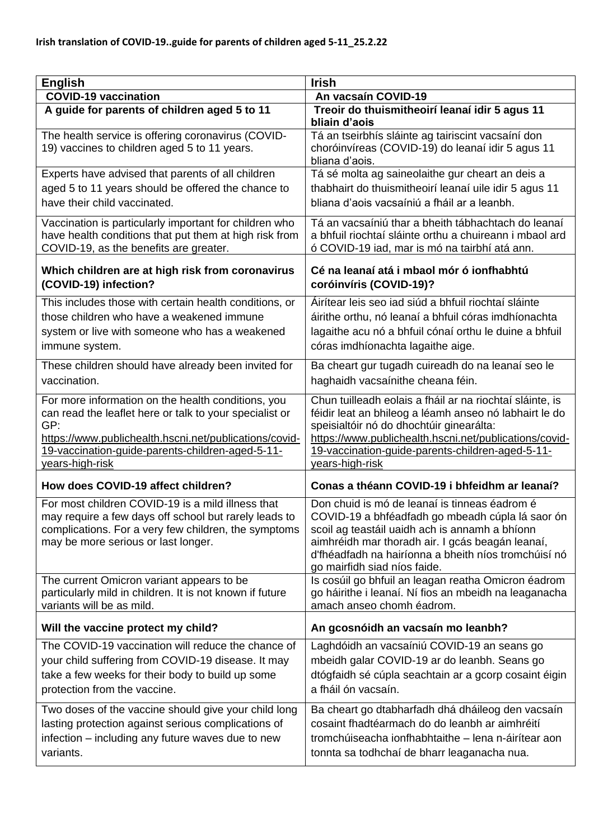| <b>English</b>                                                                                                                                                                                                                                        | <b>Irish</b>                                                                                                                                                                                                                                                                                    |
|-------------------------------------------------------------------------------------------------------------------------------------------------------------------------------------------------------------------------------------------------------|-------------------------------------------------------------------------------------------------------------------------------------------------------------------------------------------------------------------------------------------------------------------------------------------------|
| <b>COVID-19 vaccination</b>                                                                                                                                                                                                                           | An vacsaín COVID-19                                                                                                                                                                                                                                                                             |
| A guide for parents of children aged 5 to 11                                                                                                                                                                                                          | Treoir do thuismitheoirí leanaí idir 5 agus 11<br>bliain d'aois                                                                                                                                                                                                                                 |
| The health service is offering coronavirus (COVID-<br>19) vaccines to children aged 5 to 11 years.                                                                                                                                                    | Tá an tseirbhís sláinte ag tairiscint vacsaíní don<br>choróinvíreas (COVID-19) do leanaí idir 5 agus 11<br>bliana d'aois.                                                                                                                                                                       |
| Experts have advised that parents of all children                                                                                                                                                                                                     | Tá sé molta ag saineolaithe gur cheart an deis a                                                                                                                                                                                                                                                |
| aged 5 to 11 years should be offered the chance to                                                                                                                                                                                                    | thabhairt do thuismitheoirí leanaí uile idir 5 agus 11                                                                                                                                                                                                                                          |
| have their child vaccinated.                                                                                                                                                                                                                          | bliana d'aois vacsaíniú a fháil ar a leanbh.                                                                                                                                                                                                                                                    |
| Vaccination is particularly important for children who<br>have health conditions that put them at high risk from<br>COVID-19, as the benefits are greater.                                                                                            | Tá an vacsaíniú thar a bheith tábhachtach do leanaí<br>a bhfuil riochtaí sláinte orthu a chuireann i mbaol ard<br>ó COVID-19 iad, mar is mó na tairbhí atá ann.                                                                                                                                 |
| Which children are at high risk from coronavirus<br>(COVID-19) infection?                                                                                                                                                                             | Cé na leanaí atá i mbaol mór ó ionfhabhtú<br>coróinvíris (COVID-19)?                                                                                                                                                                                                                            |
| This includes those with certain health conditions, or                                                                                                                                                                                                | Áirítear leis seo iad siúd a bhfuil riochtaí sláinte                                                                                                                                                                                                                                            |
| those children who have a weakened immune                                                                                                                                                                                                             | áirithe orthu, nó leanaí a bhfuil córas imdhíonachta                                                                                                                                                                                                                                            |
| system or live with someone who has a weakened                                                                                                                                                                                                        | lagaithe acu nó a bhfuil cónaí orthu le duine a bhfuil                                                                                                                                                                                                                                          |
| immune system.                                                                                                                                                                                                                                        | córas imdhíonachta lagaithe aige.                                                                                                                                                                                                                                                               |
| These children should have already been invited for                                                                                                                                                                                                   | Ba cheart gur tugadh cuireadh do na leanaí seo le                                                                                                                                                                                                                                               |
| vaccination.                                                                                                                                                                                                                                          | haghaidh vacsaínithe cheana féin.                                                                                                                                                                                                                                                               |
| For more information on the health conditions, you<br>can read the leaflet here or talk to your specialist or<br>GP:<br>https://www.publichealth.hscni.net/publications/covid-<br>19-vaccination-guide-parents-children-aged-5-11-<br>years-high-risk | Chun tuilleadh eolais a fháil ar na riochtaí sláinte, is<br>féidir leat an bhileog a léamh anseo nó labhairt le do<br>speisialtóir nó do dhochtúir ginearálta:<br>https://www.publichealth.hscni.net/publications/covid-<br>19-vaccination-guide-parents-children-aged-5-11-<br>years-high-risk |
| How does COVID-19 affect children?                                                                                                                                                                                                                    | Conas a théann COVID-19 i bhfeidhm ar leanaí?                                                                                                                                                                                                                                                   |
| For most children COVID-19 is a mild illness that<br>may require a few days off school but rarely leads to<br>complications. For a very few children, the symptoms<br>may be more serious or last longer.                                             | Don chuid is mó de leanaí is tinneas éadrom é<br>COVID-19 a bhféadfadh go mbeadh cúpla lá saor ón<br>scoil ag teastáil uaidh ach is annamh a bhíonn<br>aimhréidh mar thoradh air. I gcás beagán leanaí,<br>d'fhéadfadh na hairíonna a bheith níos tromchúisí nó<br>go mairfidh siad níos faide. |
| The current Omicron variant appears to be                                                                                                                                                                                                             | Is cosúil go bhfuil an leagan reatha Omicron éadrom                                                                                                                                                                                                                                             |
| particularly mild in children. It is not known if future<br>variants will be as mild.                                                                                                                                                                 | go háirithe i leanaí. Ní fios an mbeidh na leaganacha<br>amach anseo chomh éadrom.                                                                                                                                                                                                              |
| Will the vaccine protect my child?                                                                                                                                                                                                                    | An gcosnóidh an vacsaín mo leanbh?                                                                                                                                                                                                                                                              |
| The COVID-19 vaccination will reduce the chance of                                                                                                                                                                                                    | Laghdóidh an vacsaíniú COVID-19 an seans go                                                                                                                                                                                                                                                     |
| your child suffering from COVID-19 disease. It may                                                                                                                                                                                                    | mbeidh galar COVID-19 ar do leanbh. Seans go                                                                                                                                                                                                                                                    |
| take a few weeks for their body to build up some                                                                                                                                                                                                      | dtógfaidh sé cúpla seachtain ar a gcorp cosaint éigin                                                                                                                                                                                                                                           |
| protection from the vaccine.                                                                                                                                                                                                                          | a fháil ón vacsaín.                                                                                                                                                                                                                                                                             |
| Two doses of the vaccine should give your child long                                                                                                                                                                                                  | Ba cheart go dtabharfadh dhá dháileog den vacsaín                                                                                                                                                                                                                                               |
| lasting protection against serious complications of                                                                                                                                                                                                   | cosaint fhadtéarmach do do leanbh ar aimhréití                                                                                                                                                                                                                                                  |
| infection – including any future waves due to new                                                                                                                                                                                                     | tromchúiseacha ionfhabhtaithe - lena n-áirítear aon                                                                                                                                                                                                                                             |
| variants.                                                                                                                                                                                                                                             | tonnta sa todhchaí de bharr leaganacha nua.                                                                                                                                                                                                                                                     |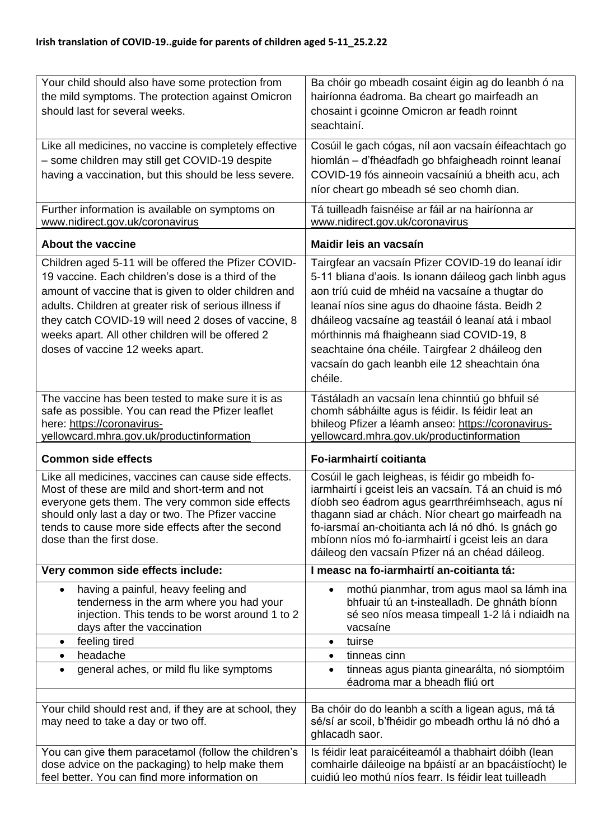| Your child should also have some protection from<br>the mild symptoms. The protection against Omicron<br>should last for several weeks.                                                                                                                                                                                                                                       | Ba chóir go mbeadh cosaint éigin ag do leanbh ó na<br>hairíonna éadroma. Ba cheart go mairfeadh an<br>chosaint i gcoinne Omicron ar feadh roinnt<br>seachtainí.                                                                                                                                                                                                                                                                      |
|-------------------------------------------------------------------------------------------------------------------------------------------------------------------------------------------------------------------------------------------------------------------------------------------------------------------------------------------------------------------------------|--------------------------------------------------------------------------------------------------------------------------------------------------------------------------------------------------------------------------------------------------------------------------------------------------------------------------------------------------------------------------------------------------------------------------------------|
| Like all medicines, no vaccine is completely effective<br>- some children may still get COVID-19 despite<br>having a vaccination, but this should be less severe.                                                                                                                                                                                                             | Cosúil le gach cógas, níl aon vacsaín éifeachtach go<br>hiomlán - d'fhéadfadh go bhfaigheadh roinnt leanaí<br>COVID-19 fós ainneoin vacsaíniú a bheith acu, ach<br>níor cheart go mbeadh sé seo chomh dian.                                                                                                                                                                                                                          |
| Further information is available on symptoms on<br>www.nidirect.gov.uk/coronavirus                                                                                                                                                                                                                                                                                            | Tá tuilleadh faisnéise ar fáil ar na hairíonna ar<br>www.nidirect.gov.uk/coronavirus                                                                                                                                                                                                                                                                                                                                                 |
| <b>About the vaccine</b>                                                                                                                                                                                                                                                                                                                                                      | Maidir leis an vacsaín                                                                                                                                                                                                                                                                                                                                                                                                               |
| Children aged 5-11 will be offered the Pfizer COVID-<br>19 vaccine. Each children's dose is a third of the<br>amount of vaccine that is given to older children and<br>adults. Children at greater risk of serious illness if<br>they catch COVID-19 will need 2 doses of vaccine, 8<br>weeks apart. All other children will be offered 2<br>doses of vaccine 12 weeks apart. | Tairgfear an vacsaín Pfizer COVID-19 do leanaí idir<br>5-11 bliana d'aois. Is ionann dáileog gach linbh agus<br>aon tríú cuid de mhéid na vacsaíne a thugtar do<br>leanaí níos sine agus do dhaoine fásta. Beidh 2<br>dháileog vacsaíne ag teastáil ó leanaí atá i mbaol<br>mórthinnis má fhaigheann siad COVID-19, 8<br>seachtaine óna chéile. Tairgfear 2 dháileog den<br>vacsaín do gach leanbh eile 12 sheachtain óna<br>chéile. |
| The vaccine has been tested to make sure it is as<br>safe as possible. You can read the Pfizer leaflet<br>here: https://coronavirus-<br>yellowcard.mhra.gov.uk/productinformation                                                                                                                                                                                             | Tástáladh an vacsaín lena chinntiú go bhfuil sé<br>chomh sábháilte agus is féidir. Is féidir leat an<br>bhileog Pfizer a léamh anseo: https://coronavirus-<br>yellowcard.mhra.gov.uk/productinformation                                                                                                                                                                                                                              |
| <b>Common side effects</b>                                                                                                                                                                                                                                                                                                                                                    | Fo-iarmhairtí coitianta                                                                                                                                                                                                                                                                                                                                                                                                              |
| Like all medicines, vaccines can cause side effects.<br>Most of these are mild and short-term and not<br>everyone gets them. The very common side effects<br>should only last a day or two. The Pfizer vaccine<br>tends to cause more side effects after the second<br>dose than the first dose.                                                                              | Cosúil le gach leigheas, is féidir go mbeidh fo-<br>iarmhairtí i gceist leis an vacsaín. Tá an chuid is mó<br>díobh seo éadrom agus gearrthréimhseach, agus ní<br>thagann siad ar chách. Níor cheart go mairfeadh na<br>fo-iarsmaí an-choitianta ach lá nó dhó. Is gnách go<br>mbíonn níos mó fo-iarmhairtí i gceist leis an dara<br>dáileog den vacsaín Pfizer ná an chéad dáileog.                                                 |
| Very common side effects include:                                                                                                                                                                                                                                                                                                                                             | I measc na fo-iarmhairtí an-coitianta tá:                                                                                                                                                                                                                                                                                                                                                                                            |
| having a painful, heavy feeling and<br>$\bullet$<br>tenderness in the arm where you had your<br>injection. This tends to be worst around 1 to 2<br>days after the vaccination                                                                                                                                                                                                 | mothú pianmhar, trom agus maol sa lámh ina<br>bhfuair tú an t-instealladh. De ghnáth bíonn<br>sé seo níos measa timpeall 1-2 lá i ndiaidh na<br>vacsaíne                                                                                                                                                                                                                                                                             |
| feeling tired<br>$\bullet$                                                                                                                                                                                                                                                                                                                                                    | tuirse<br>$\bullet$                                                                                                                                                                                                                                                                                                                                                                                                                  |
| headache<br>$\bullet$<br>general aches, or mild flu like symptoms<br>$\bullet$                                                                                                                                                                                                                                                                                                | tinneas cinn<br>$\bullet$<br>tinneas agus pianta ginearálta, nó siomptóim<br>$\bullet$<br>éadroma mar a bheadh fliú ort                                                                                                                                                                                                                                                                                                              |
| Your child should rest and, if they are at school, they<br>may need to take a day or two off.                                                                                                                                                                                                                                                                                 | Ba chóir do do leanbh a scíth a ligean agus, má tá<br>sé/sí ar scoil, b'fhéidir go mbeadh orthu lá nó dhó a<br>ghlacadh saor.                                                                                                                                                                                                                                                                                                        |
| You can give them paracetamol (follow the children's<br>dose advice on the packaging) to help make them<br>feel better. You can find more information on                                                                                                                                                                                                                      | Is féidir leat paraicéiteamól a thabhairt dóibh (lean<br>comhairle dáileoige na bpáistí ar an bpacáistíocht) le<br>cuidiú leo mothú níos fearr. Is féidir leat tuilleadh                                                                                                                                                                                                                                                             |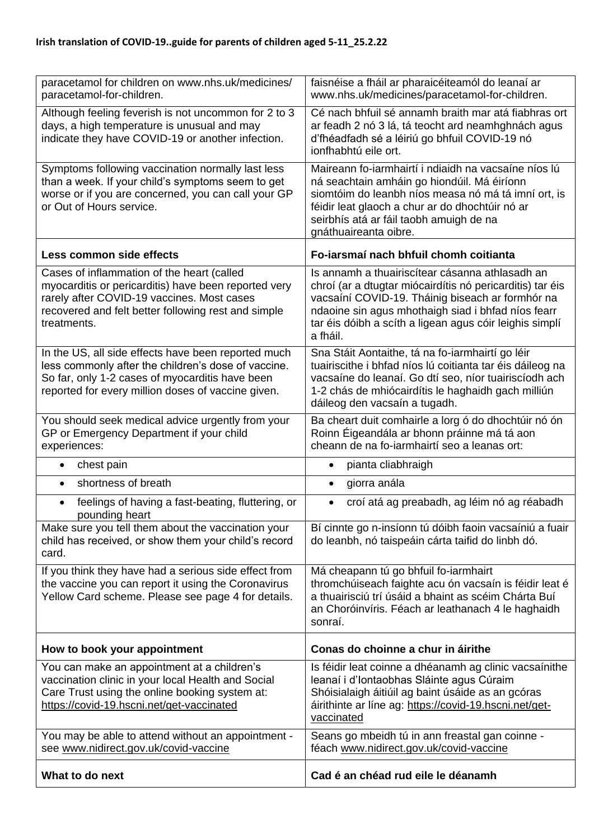| paracetamol for children on www.nhs.uk/medicines/<br>paracetamol-for-children.                                                                                                                                         | faisnéise a fháil ar pharaicéiteamól do leanaí ar<br>www.nhs.uk/medicines/paracetamol-for-children.                                                                                                                                                                                           |
|------------------------------------------------------------------------------------------------------------------------------------------------------------------------------------------------------------------------|-----------------------------------------------------------------------------------------------------------------------------------------------------------------------------------------------------------------------------------------------------------------------------------------------|
| Although feeling feverish is not uncommon for 2 to 3<br>days, a high temperature is unusual and may<br>indicate they have COVID-19 or another infection.                                                               | Cé nach bhfuil sé annamh braith mar atá fiabhras ort<br>ar feadh 2 nó 3 lá, tá teocht ard neamhghnách agus<br>d'fhéadfadh sé a léiriú go bhfuil COVID-19 nó<br>ionfhabhtú eile ort.                                                                                                           |
| Symptoms following vaccination normally last less<br>than a week. If your child's symptoms seem to get<br>worse or if you are concerned, you can call your GP<br>or Out of Hours service.                              | Maireann fo-iarmhairtí i ndiaidh na vacsaíne níos lú<br>ná seachtain amháin go hiondúil. Má éiríonn<br>siomtóim do leanbh níos measa nó má tá imní ort, is<br>féidir leat glaoch a chur ar do dhochtúir nó ar<br>seirbhís atá ar fáil taobh amuigh de na<br>gnáthuaireanta oibre.             |
| Less common side effects                                                                                                                                                                                               | Fo-iarsmaí nach bhfuil chomh coitianta                                                                                                                                                                                                                                                        |
| Cases of inflammation of the heart (called<br>myocarditis or pericarditis) have been reported very<br>rarely after COVID-19 vaccines. Most cases<br>recovered and felt better following rest and simple<br>treatments. | Is annamh a thuairiscítear cásanna athlasadh an<br>chroí (ar a dtugtar miócairdítis nó pericarditis) tar éis<br>vacsaíní COVID-19. Tháinig biseach ar formhór na<br>ndaoine sin agus mhothaigh siad i bhfad níos fearr<br>tar éis dóibh a scíth a ligean agus cóir leighis simplí<br>a fháil. |
| In the US, all side effects have been reported much<br>less commonly after the children's dose of vaccine.<br>So far, only 1-2 cases of myocarditis have been<br>reported for every million doses of vaccine given.    | Sna Stáit Aontaithe, tá na fo-iarmhairtí go léir<br>tuairiscithe i bhfad níos lú coitianta tar éis dáileog na<br>vacsaíne do leanaí. Go dtí seo, níor tuairiscíodh ach<br>1-2 chás de mhiócairdítis le haghaidh gach milliún<br>dáileog den vacsaín a tugadh.                                 |
| You should seek medical advice urgently from your<br>GP or Emergency Department if your child<br>experiences:                                                                                                          | Ba cheart duit comhairle a lorg ó do dhochtúir nó ón<br>Roinn Éigeandála ar bhonn práinne má tá aon<br>cheann de na fo-iarmhairtí seo a leanas ort:                                                                                                                                           |
| chest pain<br>$\bullet$                                                                                                                                                                                                | pianta cliabhraigh<br>$\bullet$                                                                                                                                                                                                                                                               |
| shortness of breath<br>$\bullet$                                                                                                                                                                                       | giorra anála<br>$\bullet$                                                                                                                                                                                                                                                                     |
| feelings of having a fast-beating, fluttering, or<br>$\bullet$<br>pounding heart                                                                                                                                       | croí atá ag preabadh, ag léim nó ag réabadh<br>$\bullet$                                                                                                                                                                                                                                      |
| Make sure you tell them about the vaccination your<br>child has received, or show them your child's record<br>card.                                                                                                    | Bí cinnte go n-insíonn tú dóibh faoin vacsaíniú a fuair<br>do leanbh, nó taispeáin cárta taifid do linbh dó.                                                                                                                                                                                  |
| If you think they have had a serious side effect from<br>the vaccine you can report it using the Coronavirus<br>Yellow Card scheme. Please see page 4 for details.                                                     | Má cheapann tú go bhfuil fo-iarmhairt<br>thromchúiseach faighte acu ón vacsaín is féidir leat é<br>a thuairisciú trí úsáid a bhaint as scéim Chárta Buí<br>an Choróinvíris. Féach ar leathanach 4 le haghaidh<br>sonraí.                                                                      |
| How to book your appointment                                                                                                                                                                                           | Conas do choinne a chur in áirithe                                                                                                                                                                                                                                                            |
| You can make an appointment at a children's<br>vaccination clinic in your local Health and Social<br>Care Trust using the online booking system at:<br>https://covid-19.hscni.net/get-vaccinated                       | Is féidir leat coinne a dhéanamh ag clinic vacsaínithe<br>leanaí i d'Iontaobhas Sláinte agus Cúraim<br>Shóisialaigh áitiúil ag baint úsáide as an gcóras<br>áirithinte ar líne ag: https://covid-19.hscni.net/get-<br>vaccinated                                                              |
| You may be able to attend without an appointment -<br>see www.nidirect.gov.uk/covid-vaccine                                                                                                                            | Seans go mbeidh tú in ann freastal gan coinne -<br>féach www.nidirect.gov.uk/covid-vaccine                                                                                                                                                                                                    |
| What to do next                                                                                                                                                                                                        | Cad é an chéad rud eile le déanamh                                                                                                                                                                                                                                                            |